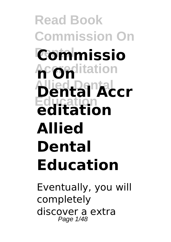**Read Book Commission On Dental Commissio Accreditation n On Allied Dental Dental Accr Education editation Allied Dental Education**

Eventually, you will completely discover a extra Page 1/48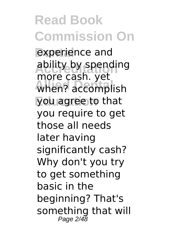experience and ability by spending when? accomplish you agree to that more cash. yet you require to get those all needs later having significantly cash? Why don't you try to get something basic in the beginning? That's something that will Page 2/48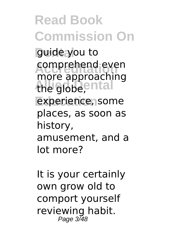**Read Book Commission On** guide you to comprehend even<br>
mare annraaching the globe, ental experience, some more approaching places, as soon as history, amusement, and a lot more?

It is your certainly own grow old to comport yourself reviewing habit. Page 3/48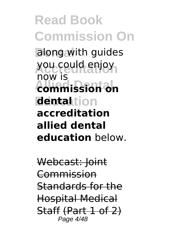**Read Book Commission On** along with guides **Accreditation** you could enjoy **Allied Dental commission on Education dental** now is **accreditation allied dental education** below.

Webcast: Joint Commission Standards for the Hospital Medical Staff (Part 1 of 2) Page 4/48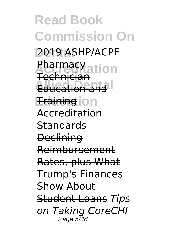**Read Book Commission On Dental** 2019 ASHP/ACPE *<u>Atarmacy</u>*<br>Pechnicial **Education and Fraining** ion Technician Accreditation **Standards Declining** Reimbursement Rates, plus What Trump's Finances Show About Student Loans *Tips on Taking CoreCHI* Page 5/48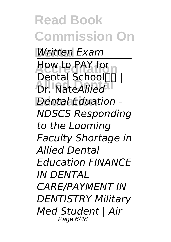**Read Book Commission On Dental** *Written Exam* **Accreditation** How to PAY for **Allied Dental** Dr. Nate*Allied* **Education** *Dental Eduation -* Dental School III I *NDSCS Responding to the Looming Faculty Shortage in Allied Dental Education FINANCE IN DENTAL CARE/PAYMENT IN DENTISTRY Military Med Student | Air* Page 6/48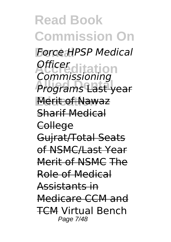**Read Book Commission On Dental** *Force HPSP Medical* **Accreditation** *Officer* **Allied Dental** *Programs* Last year **Education** Merit of Nawaz *Commissioning* Sharif Medical **College** Gujrat/Total Seats of NSMC/Last Year Merit of NSMC The Role of Medical Assistants in Medicare CCM and TCM Virtual Bench Page 7/48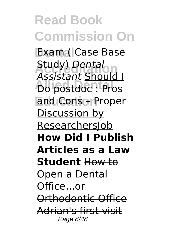**Read Book Commission On** Exam ( Case Base **Accreditation** Study) *Dental* **Allied Dental** Do postdoc : Pros **and Cons – Proper** *Assistant* Should I Discussion by ResearchersJob **How Did I Publish Articles as a Law Student** How to Open a Dental Office...or Orthodontic Office Adrian's first visit Page 8/48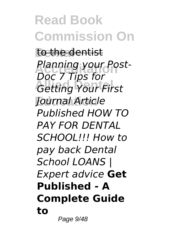**Read Book Commission On** to the dentist **Planning your Post-Getting Your First Education** *Journal Article Doc 7 Tips for Published HOW TO PAY FOR DENTAL SCHOOL!!! How to pay back Dental School LOANS | Expert advice* **Get Published - A Complete Guide to**

Page 9/48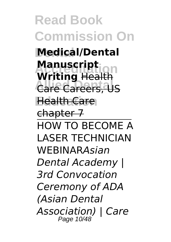**Read Book Commission On Dental Medical/Dental Manuscript**<br>Writing Health **Care Careers, US Education** Health Care **Manuscript** chapter 7 HOW TO BECOME A LASER TECHNICIAN WEBINAR*Asian Dental Academy | 3rd Convocation Ceremony of ADA (Asian Dental Association) | Care* Page 10/48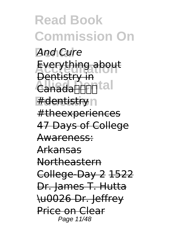**Read Book Commission On** And Cure Everything about Canada**Dendial** #dentistry<sub>n</sub> Dentistry in #theexperiences 47 Days of College Awareness: Arkansas Northeastern College-Day 2 1522 Dr. James T. Hutta \u0026 Dr. Jeffrey Price on Clear Page 11/48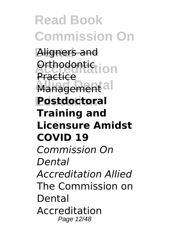**Read Book Commission On** Aligners and **Acthodontic ion** Management<sup>al</sup> **Education Postdoctoral Practice Training and Licensure Amidst COVID 19** *Commission On Dental Accreditation Allied* The Commission on Dental Accreditation Page 12/48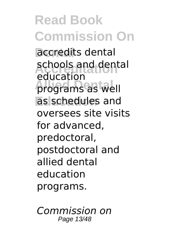**Read Book Commission On** accredits dental schools and dental **Allied Dental** programs as well as schedules and education oversees site visits for advanced, predoctoral, postdoctoral and allied dental education programs.

*Commission on* Page 13/48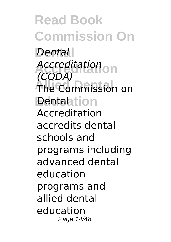**Read Book Commission On Dental** *Dental* **Accreditation** *Accreditation* The Commission on **Dentalation** *(CODA)* Accreditation accredits dental schools and programs including advanced dental education programs and allied dental education Page 14/48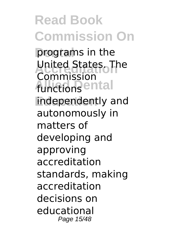programs in the **Accreditation** United States. The functions<sup>ental</sup> independently and Commission autonomously in matters of developing and approving accreditation standards, making accreditation decisions on educational Page 15/48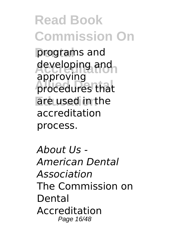**Read Book Commission On** programs and developing and **Allied Dental** procedures that **Education** are used in the approving accreditation process.

*About Us - American Dental Association* The Commission on Dental Accreditation Page 16/48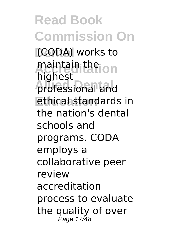**Read Book Commission On** (CODA) works to maintain the **ion Allied Dental** professional and **Education** ethical standards in highest the nation's dental schools and programs. CODA employs a collaborative peer review accreditation process to evaluate the quality of over Page 17/48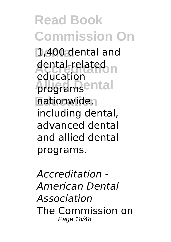**Dental** 1,400 dental and dental-related<br>
advestist programsental **Education** nationwide, education including dental, advanced dental and allied dental programs.

*Accreditation - American Dental Association* The Commission on Page 18/48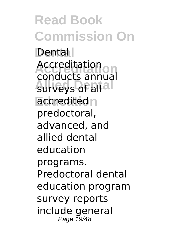**Read Book Commission On Dental** Dental **Accreditation** conducts annual surveys of all<sup>al</sup> accredited<sub>n</sub> Accreditation predoctoral, advanced, and allied dental education programs. Predoctoral dental education program survey reports include general Page 19/48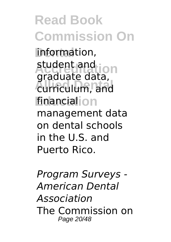**Read Book Commission On** information, student and<br>
araduate data **Allied Dental** curriculum, and financial<sub>ion</sub> graduate data, management data on dental schools in the U.S. and Puerto Rico.

*Program Surveys - American Dental Association* The Commission on Page 20/48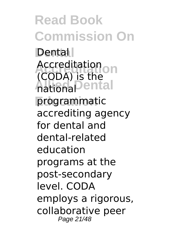**Read Book Commission On Dental** Dental **Accreditation** Accreditation **Allied Dental** national programmatic (CODA) is the accrediting agency for dental and dental-related education programs at the post-secondary level. CODA employs a rigorous, collaborative peer Page 21/48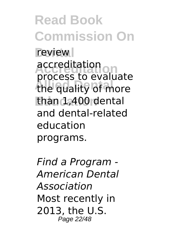**Read Book Commission On** review **Accreditation** process to evaluate the quality of more **Education** than 1,400 dental accreditation and dental-related education programs.

*Find a Program - American Dental Association* Most recently in 2013, the U.S. Page 22/48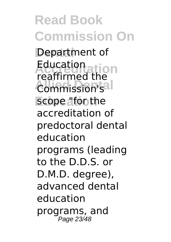**Read Book Commission On** Department of **Accreditation** reaffirmed the **Commission's** scope "for the Education accreditation of predoctoral dental education programs (leading to the D.D.S. or D.M.D. degree), advanced dental education programs, and Page 23/48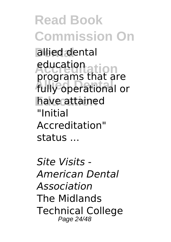**Read Book Commission On** allied dental **Accreditation** education **Allied Dental** fully operational or **Education** have attained programs that are "Initial Accreditation" status ...

*Site Visits - American Dental Association* The Midlands Technical College Page 24/48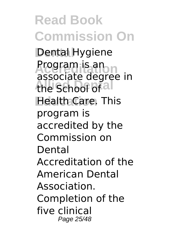**Read Book Commission On Dental** Dental Hygiene Program is an<br>associate degree in the School of al **Health Care. This** Program is an program is accredited by the Commission on Dental Accreditation of the American Dental Association. Completion of the five clinical Page 25/48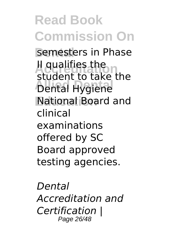**Read Book Commission On** semesters in Phase **Accreditation** student to take the **Allied Dental** Dental Hygiene **Education** National Board and II qualifies the clinical examinations offered by SC Board approved testing agencies.

*Dental Accreditation and Certification |* Page 26/48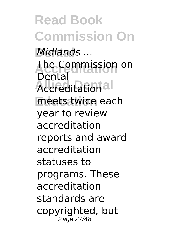**Read Book Commission On**  $Midlands$  ... **Accreditation** The Commission on **Accreditational** meets twice each Dental year to review accreditation reports and award accreditation statuses to programs. These accreditation standards are copyrighted, but Page 27/48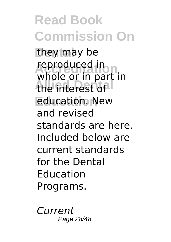**Read Book Commission On** they may be reproduced in<br>whole or in part in the interest of **Education** education. New reproduced in and revised standards are here. Included below are current standards for the Dental Education Programs.

*Current* Page 28/48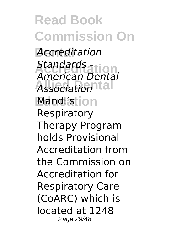**Read Book Commission On Dental** *Accreditation* **Accreditation** *American Dental* **Association** Mandl'stion *Standards -* Respiratory Therapy Program holds Provisional Accreditation from the Commission on Accreditation for Respiratory Care (CoARC) which is located at 1248 Page 29/48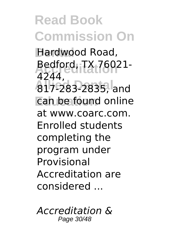**Dental** Hardwood Road, **Accreditation** Bedford, TX 76021- **Allied Dental** 817-283-2835, and **Education** can be found online 4244, at www.coarc.com. Enrolled students completing the program under Provisional Accreditation are considered ...

*Accreditation &* Page 30/48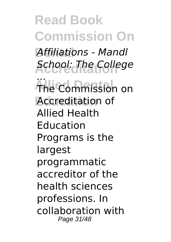**Read Book Commission On Dental** *Affiliations - Mandl* **Accreditation** *School: The College* **The Commission Accreditation** of *...* The Commission on Allied Health Education Programs is the largest programmatic accreditor of the health sciences professions. In collaboration with Page 31/48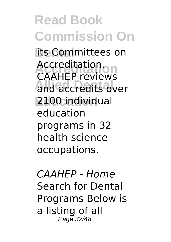**its Committees on Accreditation** CAAHEP reviews and accredits over **Education** 2100 individual Accreditation, education programs in 32 health science occupations.

*CAAHEP - Home* Search for Dental Programs Below is a listing of all Page 32/48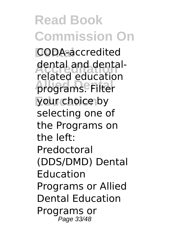**Read Book Commission On Dental** CODA-accredited dental and dental-<br>related advestion **Allied Dental** programs. Filter your choice by related education selecting one of the Programs on the left: Predoctoral (DDS/DMD) Dental Education Programs or Allied Dental Education Programs or Page 33/48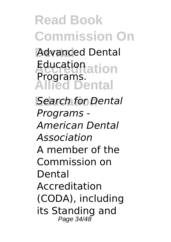**Dental** Advanced Dental Education<br>**Programs Allied Dental** Programs.

**Education** *Search for Dental Programs - American Dental Association* A member of the Commission on Dental Accreditation (CODA), including its Standing and Page 34/48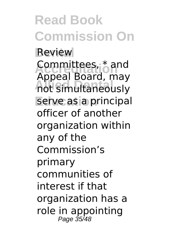**Read Book Commission On Review** Committees, \* and<br>Annoal Beard **Allied Dental** not simultaneously serve as a principal Appeal Board, may officer of another organization within any of the Commission's primary communities of interest if that organization has a role in appointing Page 35/48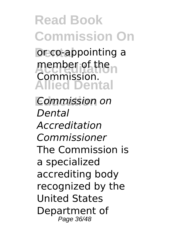**Deco-appointing a** member of the n **Allied Dental** Commission.

**Education** *Commission on Dental Accreditation Commissioner* The Commission is a specialized accrediting body recognized by the United States Department of Page 36/48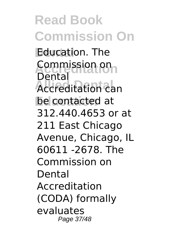**Read Book Commission On Education. The Accreditation** Commission on **Accreditation can** be contacted at Dental 312.440.4653 or at 211 East Chicago Avenue, Chicago, IL 60611 -2678. The Commission on Dental Accreditation (CODA) formally evaluates Page 37/48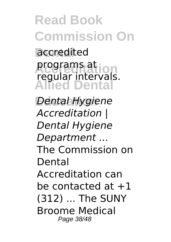**Read Book Commission On** accredited programs at<br>regular intervals. **Allied Dental Education** *Dental Hygiene* programs at *Accreditation | Dental Hygiene Department ...* The Commission on Dental Accreditation can be contacted at  $+1$ (312) ... The SUNY Broome Medical Page 38/48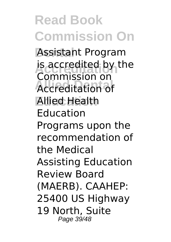**Dental** Assistant Program is accredited by the **Accreditation of Education** Allied Health Commission on Education Programs upon the recommendation of the Medical Assisting Education Review Board (MAERB). CAAHEP: 25400 US Highway 19 North, Suite Page 39/48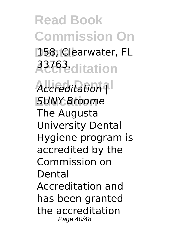**Read Book Commission On** 158, Clearwater, FL **Accreditation** 33763.  $Accreditation$ <sup>1</sup> **Education** *SUNY Broome* The Augusta University Dental Hygiene program is

accredited by the Commission on Dental

Accreditation and has been granted the accreditation Page 40/48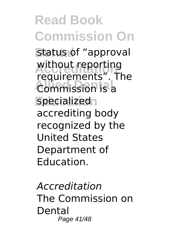status of "approval without reporting<br>requirements". The **Commission is a** specialized<sub>1</sub> without reporting accrediting body recognized by the United States Department of Education.

*Accreditation* The Commission on Dental Page 41/48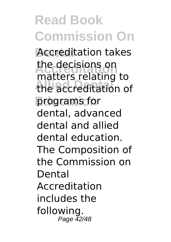**Accreditation takes** the decisions on<br>matters relating to **Allied Dental** the accreditation of programs for the decisions on dental, advanced dental and allied dental education. The Composition of the Commission on Dental Accreditation includes the following. Page 42/48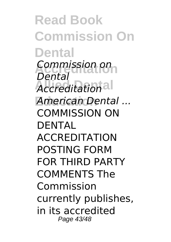**Read Book Commission On Dental Accreditation** *Commission on Accreditation* **Education** *American Dental ... Dental* COMMISSION ON DENTAL ACCREDITATION POSTING FORM FOR THIRD PARTY COMMENTS The Commission currently publishes, in its accredited Page 43/48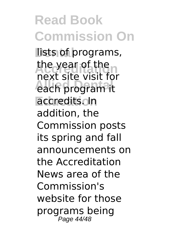lists of programs, the year of the **Allied Dental** each program it **Education** accredits. In next site visit for addition, the Commission posts its spring and fall announcements on the Accreditation News area of the Commission's website for those programs being Page 44/48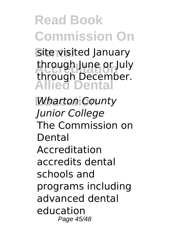**Site visited January** through June or July **Allied Dental** through December.

**Education** *Wharton County Junior College* The Commission on Dental Accreditation accredits dental schools and programs including advanced dental education Page 45/48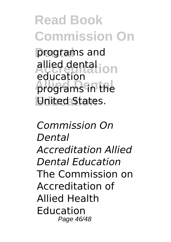programs and allied dental<br>
aducation programs in the **United States.** education

*Commission On Dental Accreditation Allied Dental Education* The Commission on Accreditation of Allied Health Education Page 46/48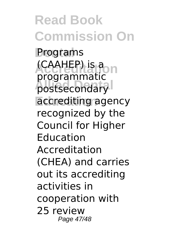**Programs (CAAHEP)** is a postsecondary accrediting agency programmatic recognized by the Council for Higher Education Accreditation (CHEA) and carries out its accrediting activities in cooperation with 25 review Page 47/48